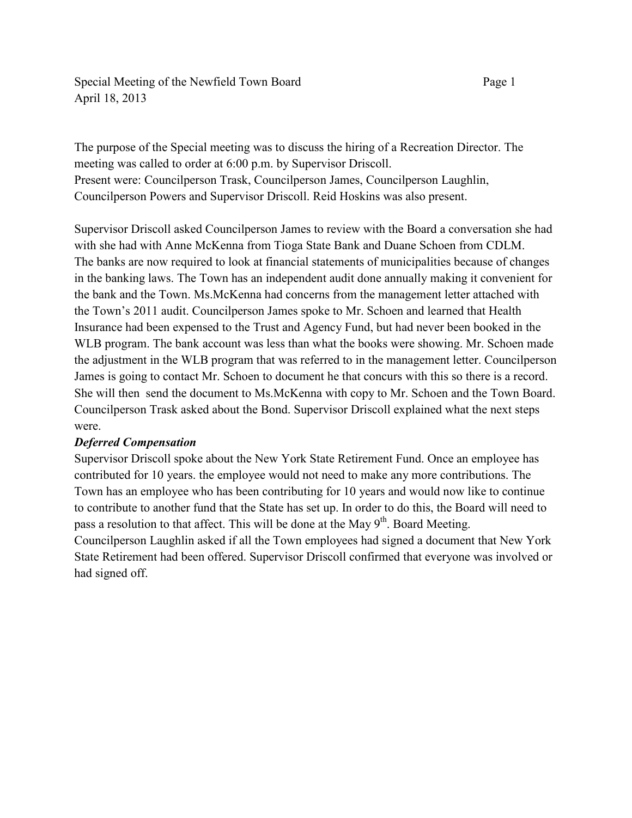Special Meeting of the Newfield Town Board Page 1 April 18, 2013

The purpose of the Special meeting was to discuss the hiring of a Recreation Director. The meeting was called to order at 6:00 p.m. by Supervisor Driscoll. Present were: Councilperson Trask, Councilperson James, Councilperson Laughlin, Councilperson Powers and Supervisor Driscoll. Reid Hoskins was also present.

Supervisor Driscoll asked Councilperson James to review with the Board a conversation she had with she had with Anne McKenna from Tioga State Bank and Duane Schoen from CDLM. The banks are now required to look at financial statements of municipalities because of changes in the banking laws. The Town has an independent audit done annually making it convenient for the bank and the Town. Ms.McKenna had concerns from the management letter attached with the Town's 2011 audit. Councilperson James spoke to Mr. Schoen and learned that Health Insurance had been expensed to the Trust and Agency Fund, but had never been booked in the WLB program. The bank account was less than what the books were showing. Mr. Schoen made the adjustment in the WLB program that was referred to in the management letter. Councilperson James is going to contact Mr. Schoen to document he that concurs with this so there is a record. She will then send the document to Ms.McKenna with copy to Mr. Schoen and the Town Board. Councilperson Trask asked about the Bond. Supervisor Driscoll explained what the next steps were.

## *Deferred Compensation*

Supervisor Driscoll spoke about the New York State Retirement Fund. Once an employee has contributed for 10 years. the employee would not need to make any more contributions. The Town has an employee who has been contributing for 10 years and would now like to continue to contribute to another fund that the State has set up. In order to do this, the Board will need to pass a resolution to that affect. This will be done at the May 9<sup>th</sup>. Board Meeting.

Councilperson Laughlin asked if all the Town employees had signed a document that New York State Retirement had been offered. Supervisor Driscoll confirmed that everyone was involved or had signed off.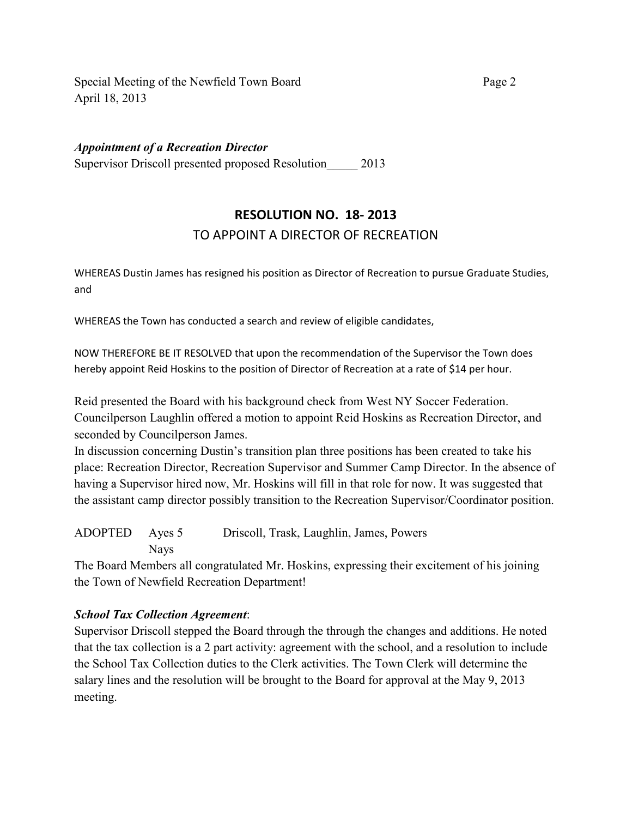Special Meeting of the Newfield Town Board Page 2 April 18, 2013

*Appointment of a Recreation Director* 

Supervisor Driscoll presented proposed Resolution 2013

## **RESOLUTION NO. 18- 2013**  TO APPOINT A DIRECTOR OF RECREATION

WHEREAS Dustin James has resigned his position as Director of Recreation to pursue Graduate Studies, and

WHEREAS the Town has conducted a search and review of eligible candidates,

NOW THEREFORE BE IT RESOLVED that upon the recommendation of the Supervisor the Town does hereby appoint Reid Hoskins to the position of Director of Recreation at a rate of \$14 per hour.

Reid presented the Board with his background check from West NY Soccer Federation. Councilperson Laughlin offered a motion to appoint Reid Hoskins as Recreation Director, and seconded by Councilperson James.

In discussion concerning Dustin's transition plan three positions has been created to take his place: Recreation Director, Recreation Supervisor and Summer Camp Director. In the absence of having a Supervisor hired now, Mr. Hoskins will fill in that role for now. It was suggested that the assistant camp director possibly transition to the Recreation Supervisor/Coordinator position.

ADOPTED Ayes 5 Driscoll, Trask, Laughlin, James, Powers Nays

The Board Members all congratulated Mr. Hoskins, expressing their excitement of his joining the Town of Newfield Recreation Department!

## *School Tax Collection Agreement*:

Supervisor Driscoll stepped the Board through the through the changes and additions. He noted that the tax collection is a 2 part activity: agreement with the school, and a resolution to include the School Tax Collection duties to the Clerk activities. The Town Clerk will determine the salary lines and the resolution will be brought to the Board for approval at the May 9, 2013 meeting.